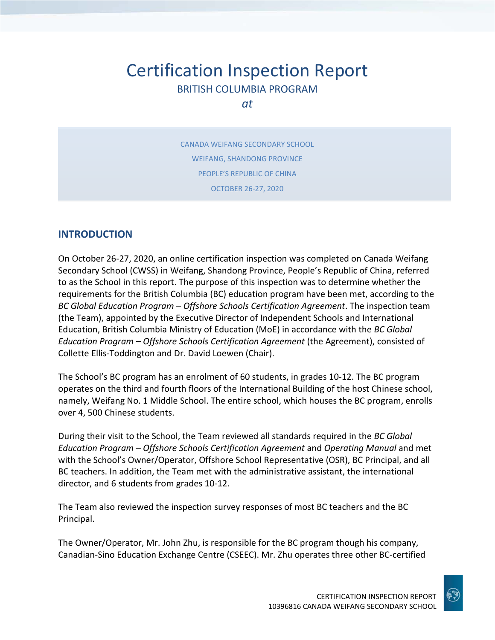# Certification Inspection Report BRITISH COLUMBIA PROGRAM

*at*

CANADA WEIFANG SECONDARY SCHOOL WEIFANG, SHANDONG PROVINCE PEOPLE'S REPUBLIC OF CHINA OCTOBER 26-27, 2020

### **INTRODUCTION**

On October 26-27, 2020, an online certification inspection was completed on Canada Weifang Secondary School (CWSS) in Weifang, Shandong Province, People's Republic of China, referred to as the School in this report. The purpose of this inspection was to determine whether the requirements for the British Columbia (BC) education program have been met, according to the *BC Global Education Program – Offshore Schools Certification Agreement*. The inspection team (the Team), appointed by the Executive Director of Independent Schools and International Education, British Columbia Ministry of Education (MoE) in accordance with the *BC Global Education Program – Offshore Schools Certification Agreement* (the Agreement), consisted of Collette Ellis-Toddington and Dr. David Loewen (Chair).

The School's BC program has an enrolment of 60 students, in grades 10-12. The BC program operates on the third and fourth floors of the International Building of the host Chinese school, namely, Weifang No. 1 Middle School. The entire school, which houses the BC program, enrolls over 4, 500 Chinese students.

During their visit to the School, the Team reviewed all standards required in the *BC Global Education Program – Offshore Schools Certification Agreement* and *Operating Manual* and met with the School's Owner/Operator, Offshore School Representative (OSR), BC Principal, and all BC teachers. In addition, the Team met with the administrative assistant, the international director, and 6 students from grades 10-12.

The Team also reviewed the inspection survey responses of most BC teachers and the BC Principal.

The Owner/Operator, Mr. John Zhu, is responsible for the BC program though his company, Canadian-Sino Education Exchange Centre (CSEEC). Mr. Zhu operates three other BC-certified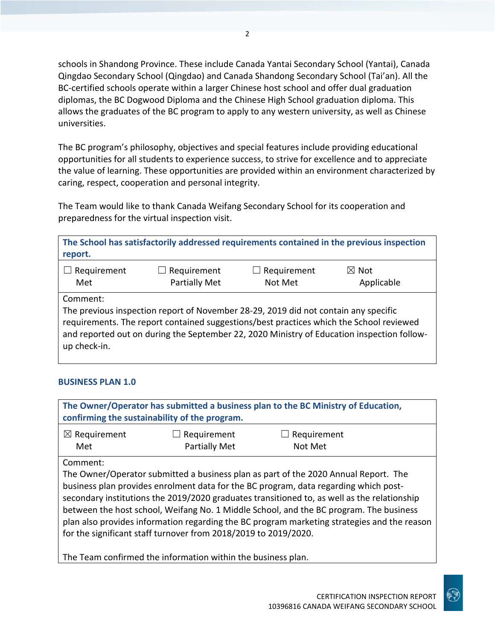schools in Shandong Province. These include Canada Yantai Secondary School (Yantai), Canada Qingdao Secondary School (Qingdao) and Canada Shandong Secondary School (Tai'an). All the BC-certified schools operate within a larger Chinese host school and offer dual graduation diplomas, the BC Dogwood Diploma and the Chinese High School graduation diploma. This allows the graduates of the BC program to apply to any western university, as well as Chinese universities.

The BC program's philosophy, objectives and special features include providing educational opportunities for all students to experience success, to strive for excellence and to appreciate the value of learning. These opportunities are provided within an environment characterized by caring, respect, cooperation and personal integrity.

The Team would like to thank Canada Weifang Secondary School for its cooperation and preparedness for the virtual inspection visit.

| report.                  |                                                                                                                                                                                |             | The School has satisfactorily addressed requirements contained in the previous inspection  |
|--------------------------|--------------------------------------------------------------------------------------------------------------------------------------------------------------------------------|-------------|--------------------------------------------------------------------------------------------|
| Requirement              | $\Box$ Requirement                                                                                                                                                             | Requirement | $\boxtimes$ Not                                                                            |
| Met                      | <b>Partially Met</b>                                                                                                                                                           | Not Met     | Applicable                                                                                 |
| Comment:<br>up check-in. | The previous inspection report of November 28-29, 2019 did not contain any specific<br>requirements. The report contained suggestions/best practices which the School reviewed |             | and reported out on during the September 22, 2020 Ministry of Education inspection follow- |

### **BUSINESS PLAN 1.0**

| The Owner/Operator has submitted a business plan to the BC Ministry of Education,<br>confirming the sustainability of the program. |                                                                 |                                                                                                                                                                                                                                                                                                                                                                                                                                                                     |  |
|------------------------------------------------------------------------------------------------------------------------------------|-----------------------------------------------------------------|---------------------------------------------------------------------------------------------------------------------------------------------------------------------------------------------------------------------------------------------------------------------------------------------------------------------------------------------------------------------------------------------------------------------------------------------------------------------|--|
| $\boxtimes$ Requirement<br>Met                                                                                                     | Requirement<br>Partially Met                                    | Requirement<br>Not Met                                                                                                                                                                                                                                                                                                                                                                                                                                              |  |
| Comment:                                                                                                                           | for the significant staff turnover from 2018/2019 to 2019/2020. | The Owner/Operator submitted a business plan as part of the 2020 Annual Report. The<br>business plan provides enrolment data for the BC program, data regarding which post-<br>secondary institutions the 2019/2020 graduates transitioned to, as well as the relationship<br>between the host school, Weifang No. 1 Middle School, and the BC program. The business<br>plan also provides information regarding the BC program marketing strategies and the reason |  |

The Team confirmed the information within the business plan.

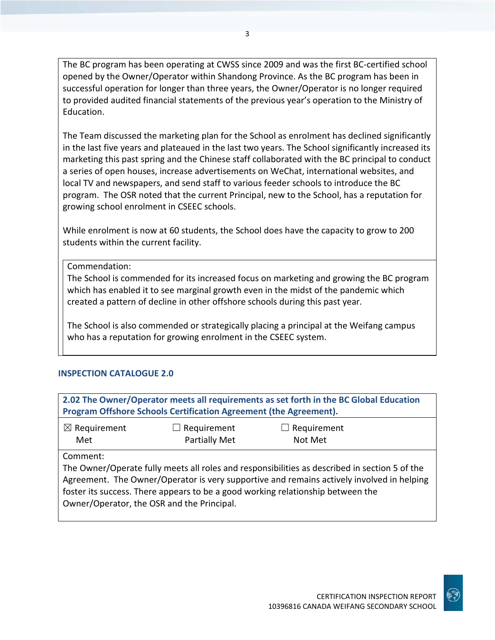The BC program has been operating at CWSS since 2009 and was the first BC-certified school opened by the Owner/Operator within Shandong Province. As the BC program has been in successful operation for longer than three years, the Owner/Operator is no longer required to provided audited financial statements of the previous year's operation to the Ministry of Education.

The Team discussed the marketing plan for the School as enrolment has declined significantly in the last five years and plateaued in the last two years. The School significantly increased its marketing this past spring and the Chinese staff collaborated with the BC principal to conduct a series of open houses, increase advertisements on WeChat, international websites, and local TV and newspapers, and send staff to various feeder schools to introduce the BC program. The OSR noted that the current Principal, new to the School, has a reputation for growing school enrolment in CSEEC schools.

While enrolment is now at 60 students, the School does have the capacity to grow to 200 students within the current facility.

Commendation:

The School is commended for its increased focus on marketing and growing the BC program which has enabled it to see marginal growth even in the midst of the pandemic which created a pattern of decline in other offshore schools during this past year.

The School is also commended or strategically placing a principal at the Weifang campus who has a reputation for growing enrolment in the CSEEC system.

### **INSPECTION CATALOGUE 2.0**

| 2.02 The Owner/Operator meets all requirements as set forth in the BC Global Education<br>Program Offshore Schools Certification Agreement (the Agreement).                                                                                                                                                                             |  |  |  |
|-----------------------------------------------------------------------------------------------------------------------------------------------------------------------------------------------------------------------------------------------------------------------------------------------------------------------------------------|--|--|--|
| $\boxtimes$ Requirement<br>Requirement<br>Requirement<br>$\vert \ \ \vert$<br>Partially Met<br>Not Met<br>Met                                                                                                                                                                                                                           |  |  |  |
| Comment:<br>The Owner/Operate fully meets all roles and responsibilities as described in section 5 of the<br>Agreement. The Owner/Operator is very supportive and remains actively involved in helping<br>foster its success. There appears to be a good working relationship between the<br>Owner/Operator, the OSR and the Principal. |  |  |  |

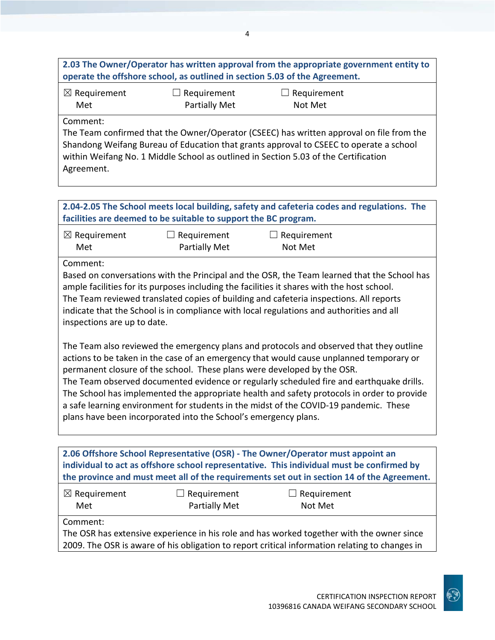| 2.03 The Owner/Operator has written approval from the appropriate government entity to |
|----------------------------------------------------------------------------------------|
| operate the offshore school, as outlined in section 5.03 of the Agreement.             |
|                                                                                        |

☒ Requirement Met

☐ Requirement Partially Met

 $\Box$  Requirement Not Met

### Comment:

The Team confirmed that the Owner/Operator (CSEEC) has written approval on file from the Shandong Weifang Bureau of Education that grants approval to CSEEC to operate a school within Weifang No. 1 Middle School as outlined in Section 5.03 of the Certification Agreement.

### **2.04-2.05 The School meets local building, safety and cafeteria codes and regulations. The facilities are deemed to be suitable to support the BC program.**

| $\boxtimes$ Requirement | $\Box$ Requirement   | $\Box$ Requirement |
|-------------------------|----------------------|--------------------|
| Met                     | <b>Partially Met</b> | Not Met            |

Comment:

Based on conversations with the Principal and the OSR, the Team learned that the School has ample facilities for its purposes including the facilities it shares with the host school. The Team reviewed translated copies of building and cafeteria inspections. All reports indicate that the School is in compliance with local regulations and authorities and all inspections are up to date.

The Team also reviewed the emergency plans and protocols and observed that they outline actions to be taken in the case of an emergency that would cause unplanned temporary or permanent closure of the school. These plans were developed by the OSR.

The Team observed documented evidence or regularly scheduled fire and earthquake drills. The School has implemented the appropriate health and safety protocols in order to provide a safe learning environment for students in the midst of the COVID-19 pandemic. These plans have been incorporated into the School's emergency plans.

**2.06 Offshore School Representative (OSR) - The Owner/Operator must appoint an individual to act as offshore school representative. This individual must be confirmed by the province and must meet all of the requirements set out in section 14 of the Agreement.**

| $\boxtimes$ Requirement | $\Box$ Requirement | $\Box$ Requirement |  |
|-------------------------|--------------------|--------------------|--|
| Met                     | Partially Met      | Not Met            |  |

Comment:

The OSR has extensive experience in his role and has worked together with the owner since 2009. The OSR is aware of his obligation to report critical information relating to changes in

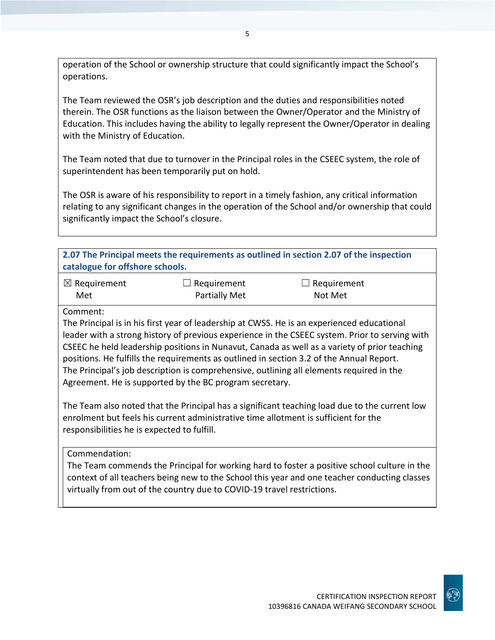operation of the School or ownership structure that could significantly impact the School's operations.

The Team reviewed the OSR's job description and the duties and responsibilities noted therein. The OSR functions as the liaison between the Owner/Operator and the Ministry of Education. This includes having the ability to legally represent the Owner/Operator in dealing with the Ministry of Education.

The Team noted that due to turnover in the Principal roles in the CSEEC system, the role of superintendent has been temporarily put on hold.

The OSR is aware of his responsibility to report in a timely fashion, any critical information relating to any significant changes in the operation of the School and/or ownership that could significantly impact the School's closure.

| 2.07 The Principal meets the requirements as outlined in section 2.07 of the inspection<br>catalogue for offshore schools. |                                     |                                                                                            |  |
|----------------------------------------------------------------------------------------------------------------------------|-------------------------------------|--------------------------------------------------------------------------------------------|--|
| $\boxtimes$ Requirement<br>Met                                                                                             | $\Box$ Requirement<br>Partially Met | $\Box$ Requirement<br>Not Met                                                              |  |
| Comment:                                                                                                                   |                                     | The Principal is in his first year of leadership at CWSS, He is an experienced educational |  |

Il is in his first year of leadership at CWSS. He is an experienced educ leader with a strong history of previous experience in the CSEEC system. Prior to serving with CSEEC he held leadership positions in Nunavut, Canada as well as a variety of prior teaching positions. He fulfills the requirements as outlined in section 3.2 of the Annual Report. The Principal's job description is comprehensive, outlining all elements required in the Agreement. He is supported by the BC program secretary.

The Team also noted that the Principal has a significant teaching load due to the current low enrolment but feels his current administrative time allotment is sufficient for the responsibilities he is expected to fulfill.

Commendation:

The Team commends the Principal for working hard to foster a positive school culture in the context of all teachers being new to the School this year and one teacher conducting classes virtually from out of the country due to COVID-19 travel restrictions.

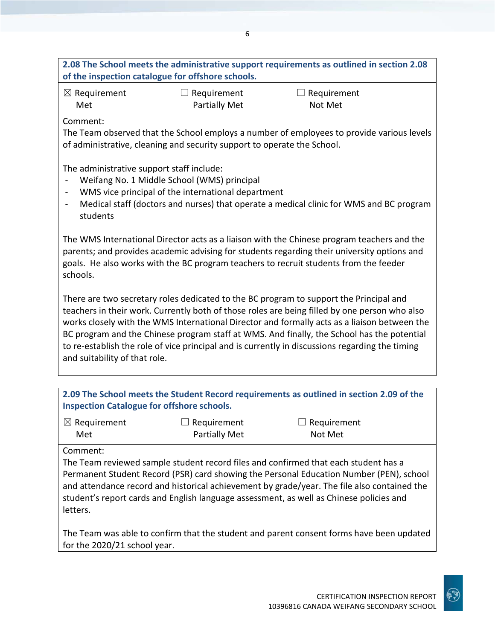## **2.08 The School meets the administrative support requirements as outlined in section 2.08 of the inspection catalogue for offshore schools.**

| $\boxtimes$ Requirement | $\Box$ Requirement | $\Box$ Requirement |
|-------------------------|--------------------|--------------------|
| Met                     | Partially Met      | Not Met            |

Comment:

The Team observed that the School employs a number of employees to provide various levels of administrative, cleaning and security support to operate the School.

The administrative support staff include:

- Weifang No. 1 Middle School (WMS) principal
- WMS vice principal of the international department
- Medical staff (doctors and nurses) that operate a medical clinic for WMS and BC program students

The WMS International Director acts as a liaison with the Chinese program teachers and the parents; and provides academic advising for students regarding their university options and goals. He also works with the BC program teachers to recruit students from the feeder schools.

There are two secretary roles dedicated to the BC program to support the Principal and teachers in their work. Currently both of those roles are being filled by one person who also works closely with the WMS International Director and formally acts as a liaison between the BC program and the Chinese program staff at WMS. And finally, the School has the potential to re-establish the role of vice principal and is currently in discussions regarding the timing and suitability of that role.

| 2.09 The School meets the Student Record requirements as outlined in section 2.09 of the<br><b>Inspection Catalogue for offshore schools.</b> |                    |                    |  |
|-----------------------------------------------------------------------------------------------------------------------------------------------|--------------------|--------------------|--|
| $\boxtimes$ Requirement                                                                                                                       | $\Box$ Requirement | $\Box$ Requirement |  |
| Met                                                                                                                                           | Partially Met      | Not Met            |  |
| Comment:                                                                                                                                      |                    |                    |  |
| The Team reviewed sample student record files and confirmed that each student has a                                                           |                    |                    |  |
| Permanent Student Record (PSR) card showing the Personal Education Number (PEN), school                                                       |                    |                    |  |
| and attendance record and historical achievement by grade/year. The file also contained the                                                   |                    |                    |  |
| student's report cards and English language assessment, as well as Chinese policies and                                                       |                    |                    |  |

letters.

The Team was able to confirm that the student and parent consent forms have been updated for the 2020/21 school year.

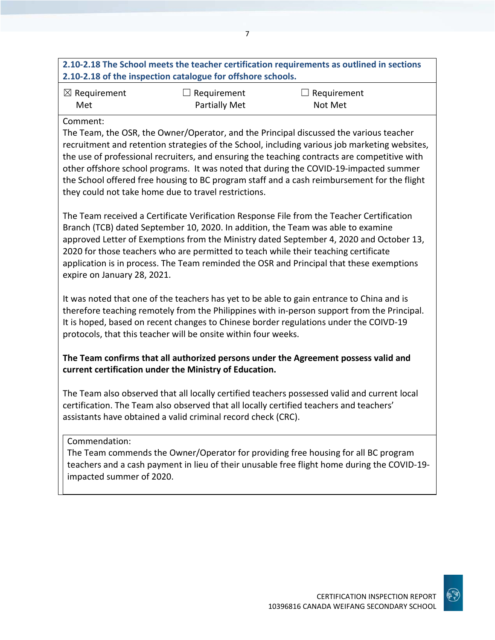# **2.10-2.18 The School meets the teacher certification requirements as outlined in sections 2.10-2.18 of the inspection catalogue for offshore schools.**

| $\boxtimes$ Requirement | $\Box$ Requirement   | $\Box$ Requirement |
|-------------------------|----------------------|--------------------|
| Met                     | <b>Partially Met</b> | Not Met            |

### Comment:

The Team, the OSR, the Owner/Operator, and the Principal discussed the various teacher recruitment and retention strategies of the School, including various job marketing websites, the use of professional recruiters, and ensuring the teaching contracts are competitive with other offshore school programs. It was noted that during the COVID-19-impacted summer the School offered free housing to BC program staff and a cash reimbursement for the flight they could not take home due to travel restrictions.

The Team received a Certificate Verification Response File from the Teacher Certification Branch (TCB) dated September 10, 2020. In addition, the Team was able to examine approved Letter of Exemptions from the Ministry dated September 4, 2020 and October 13, 2020 for those teachers who are permitted to teach while their teaching certificate application is in process. The Team reminded the OSR and Principal that these exemptions expire on January 28, 2021.

It was noted that one of the teachers has yet to be able to gain entrance to China and is therefore teaching remotely from the Philippines with in-person support from the Principal. It is hoped, based on recent changes to Chinese border regulations under the COIVD-19 protocols, that this teacher will be onsite within four weeks.

### **The Team confirms that all authorized persons under the Agreement possess valid and current certification under the Ministry of Education.**

The Team also observed that all locally certified teachers possessed valid and current local certification. The Team also observed that all locally certified teachers and teachers' assistants have obtained a valid criminal record check (CRC).

Commendation:

The Team commends the Owner/Operator for providing free housing for all BC program teachers and a cash payment in lieu of their unusable free flight home during the COVID-19 impacted summer of 2020.

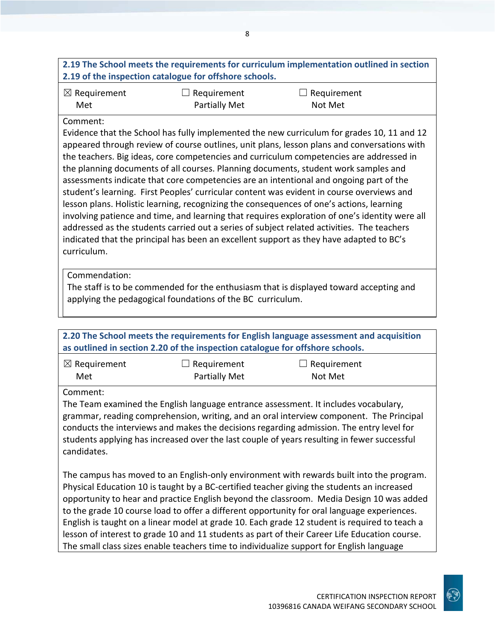# **2.19 The School meets the requirements for curriculum implementation outlined in section 2.19 of the inspection catalogue for offshore schools.**

| $\boxtimes$ Requirement | $\Box$ Requirement   | $\Box$ Requirement |  |
|-------------------------|----------------------|--------------------|--|
| Met                     | <b>Partially Met</b> | Not Met            |  |

### Comment:

Evidence that the School has fully implemented the new curriculum for grades 10, 11 and 12 appeared through review of course outlines, unit plans, lesson plans and conversations with the teachers. Big ideas, core competencies and curriculum competencies are addressed in the planning documents of all courses. Planning documents, student work samples and assessments indicate that core competencies are an intentional and ongoing part of the student's learning. First Peoples' curricular content was evident in course overviews and lesson plans. Holistic learning, recognizing the consequences of one's actions, learning involving patience and time, and learning that requires exploration of one's identity were all addressed as the students carried out a series of subject related activities. The teachers indicated that the principal has been an excellent support as they have adapted to BC's curriculum.

Commendation:

The staff is to be commended for the enthusiasm that is displayed toward accepting and applying the pedagogical foundations of the BC curriculum.

**2.20 The School meets the requirements for English language assessment and acquisition as outlined in section 2.20 of the inspection catalogue for offshore schools.**

| $\boxtimes$ Requirement | $\Box$ Requirement   | $\Box$ Requirement |
|-------------------------|----------------------|--------------------|
| Met                     | <b>Partially Met</b> | Not Met            |

Comment:

The Team examined the English language entrance assessment. It includes vocabulary, grammar, reading comprehension, writing, and an oral interview component. The Principal conducts the interviews and makes the decisions regarding admission. The entry level for students applying has increased over the last couple of years resulting in fewer successful candidates.

The campus has moved to an English-only environment with rewards built into the program. Physical Education 10 is taught by a BC-certified teacher giving the students an increased opportunity to hear and practice English beyond the classroom. Media Design 10 was added to the grade 10 course load to offer a different opportunity for oral language experiences. English is taught on a linear model at grade 10. Each grade 12 student is required to teach a lesson of interest to grade 10 and 11 students as part of their Career Life Education course. The small class sizes enable teachers time to individualize support for English language

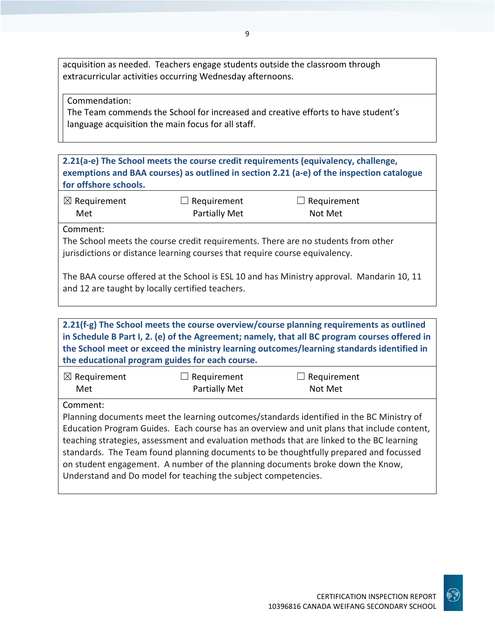acquisition as needed. Teachers engage students outside the classroom through extracurricular activities occurring Wednesday afternoons.

Commendation:

The Team commends the School for increased and creative efforts to have student's language acquisition the main focus for all staff.

**2.21(a-e) The School meets the course credit requirements (equivalency, challenge, exemptions and BAA courses) as outlined in section 2.21 (a-e) of the inspection catalogue for offshore schools.**

| $\boxtimes$ Requirement | $\Box$ Requirement   | $\Box$ Requirement |
|-------------------------|----------------------|--------------------|
| Met                     | <b>Partially Met</b> | Not Met            |

Comment:

The School meets the course credit requirements. There are no students from other jurisdictions or distance learning courses that require course equivalency.

The BAA course offered at the School is ESL 10 and has Ministry approval. Mandarin 10, 11 and 12 are taught by locally certified teachers.

**2.21(f-g) The School meets the course overview/course planning requirements as outlined in Schedule B Part I, 2. (e) of the Agreement; namely, that all BC program courses offered in the School meet or exceed the ministry learning outcomes/learning standards identified in the educational program guides for each course.**

| $\boxtimes$ Requirement | $\Box$ Requirement   | $\Box$ Requirement |
|-------------------------|----------------------|--------------------|
| Met                     | <b>Partially Met</b> | Not Met            |

Comment:

Planning documents meet the learning outcomes/standards identified in the BC Ministry of Education Program Guides. Each course has an overview and unit plans that include content, teaching strategies, assessment and evaluation methods that are linked to the BC learning standards. The Team found planning documents to be thoughtfully prepared and focussed on student engagement. A number of the planning documents broke down the Know, Understand and Do model for teaching the subject competencies.

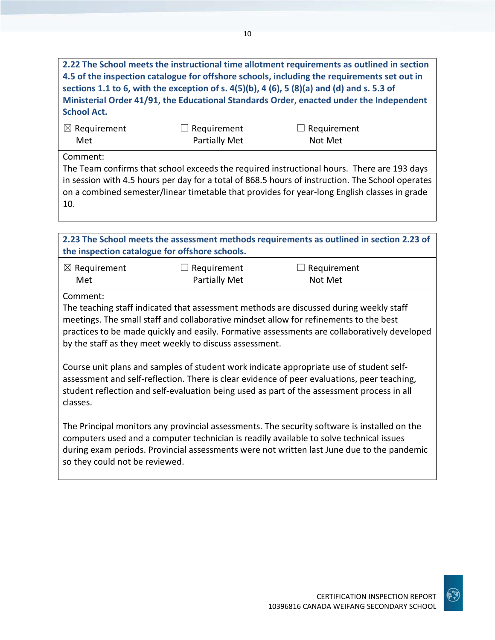**2.22 The School meets the instructional time allotment requirements as outlined in section 4.5 of the inspection catalogue for offshore schools, including the requirements set out in sections 1.1 to 6, with the exception of s. 4(5)(b), 4 (6), 5 (8)(a) and (d) and s. 5.3 of Ministerial Order 41/91, the Educational Standards Order, enacted under the Independent School Act.**

| $\boxtimes$ Requirement | $\Box$ Requirement | $\Box$ Requirement |
|-------------------------|--------------------|--------------------|
| Met                     | Partially Met      | Not Met            |

Comment:

The Team confirms that school exceeds the required instructional hours. There are 193 days in session with 4.5 hours per day for a total of 868.5 hours of instruction. The School operates on a combined semester/linear timetable that provides for year-long English classes in grade 10.

**2.23 The School meets the assessment methods requirements as outlined in section 2.23 of the inspection catalogue for offshore schools.**

| $\boxtimes$ Requirement | $\Box$ Requirement | $\Box$ Requirement |
|-------------------------|--------------------|--------------------|
| Met                     | Partially Met      | Not Met            |

Comment:

The teaching staff indicated that assessment methods are discussed during weekly staff meetings. The small staff and collaborative mindset allow for refinements to the best practices to be made quickly and easily. Formative assessments are collaboratively developed by the staff as they meet weekly to discuss assessment.

Course unit plans and samples of student work indicate appropriate use of student selfassessment and self-reflection. There is clear evidence of peer evaluations, peer teaching, student reflection and self-evaluation being used as part of the assessment process in all classes.

The Principal monitors any provincial assessments. The security software is installed on the computers used and a computer technician is readily available to solve technical issues during exam periods. Provincial assessments were not written last June due to the pandemic so they could not be reviewed.

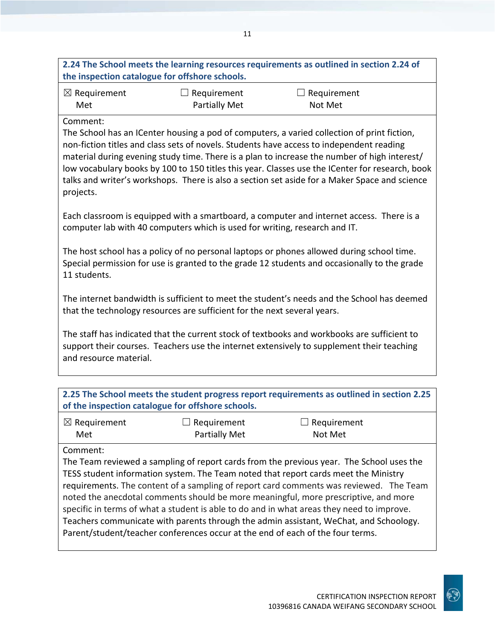| 2.24 The School meets the learning resources requirements as outlined in section 2.24 of |  |
|------------------------------------------------------------------------------------------|--|
| the inspection catalogue for offshore schools.                                           |  |

| $\boxtimes$ Requirement | $\Box$ Requirement | $\Box$ Requirement |
|-------------------------|--------------------|--------------------|
| Met                     | Partially Met      | Not Met            |

#### Comment:

The School has an ICenter housing a pod of computers, a varied collection of print fiction, non-fiction titles and class sets of novels. Students have access to independent reading material during evening study time. There is a plan to increase the number of high interest/ low vocabulary books by 100 to 150 titles this year. Classes use the ICenter for research, book talks and writer's workshops. There is also a section set aside for a Maker Space and science projects.

Each classroom is equipped with a smartboard, a computer and internet access. There is a computer lab with 40 computers which is used for writing, research and IT.

The host school has a policy of no personal laptops or phones allowed during school time. Special permission for use is granted to the grade 12 students and occasionally to the grade 11 students.

The internet bandwidth is sufficient to meet the student's needs and the School has deemed that the technology resources are sufficient for the next several years.

The staff has indicated that the current stock of textbooks and workbooks are sufficient to support their courses. Teachers use the internet extensively to supplement their teaching and resource material.

| 2.25 The School meets the student progress report requirements as outlined in section 2.25<br>of the inspection catalogue for offshore schools.                               |                                            |                               |  |
|-------------------------------------------------------------------------------------------------------------------------------------------------------------------------------|--------------------------------------------|-------------------------------|--|
| $\boxtimes$ Requirement<br>Met                                                                                                                                                | $\Box$ Requirement<br><b>Partially Met</b> | $\Box$ Requirement<br>Not Met |  |
| Comment:<br>The Team reviewed a sampling of report cards from the previous year. The School uses the                                                                          |                                            |                               |  |
| TESS student information system. The Team noted that report cards meet the Ministry<br>requirements. The content of a sampling of report card comments was reviewed. The Team |                                            |                               |  |
| noted the anecdotal comments should be more meaningful, more prescriptive, and more                                                                                           |                                            |                               |  |

Teachers communicate with parents through the admin assistant, WeChat, and Schoology. Parent/student/teacher conferences occur at the end of each of the four terms.

specific in terms of what a student is able to do and in what areas they need to improve.

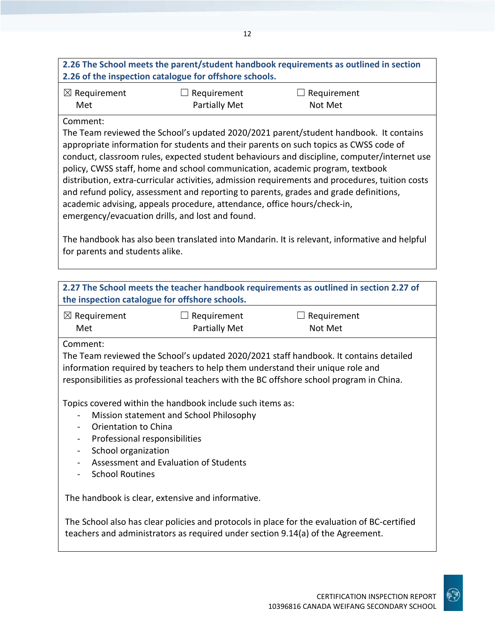## **2.26 The School meets the parent/student handbook requirements as outlined in section 2.26 of the inspection catalogue for offshore schools.**

| $\boxtimes$ Requirement | $\Box$ Requirement | $\Box$ Requirement |
|-------------------------|--------------------|--------------------|
| Met                     | Partially Met      | Not Met            |

### Comment:

The Team reviewed the School's updated 2020/2021 parent/student handbook. It contains appropriate information for students and their parents on such topics as CWSS code of conduct, classroom rules, expected student behaviours and discipline, computer/internet use policy, CWSS staff, home and school communication, academic program, textbook distribution, extra-curricular activities, admission requirements and procedures, tuition costs and refund policy, assessment and reporting to parents, grades and grade definitions, academic advising, appeals procedure, attendance, office hours/check-in, emergency/evacuation drills, and lost and found.

The handbook has also been translated into Mandarin. It is relevant, informative and helpful for parents and students alike.

| 2.27 The School meets the teacher handbook requirements as outlined in section 2.27 of<br>the inspection catalogue for offshore schools.                                                                                                                                            |                                     |                        |  |
|-------------------------------------------------------------------------------------------------------------------------------------------------------------------------------------------------------------------------------------------------------------------------------------|-------------------------------------|------------------------|--|
| $\boxtimes$ Requirement<br>Met                                                                                                                                                                                                                                                      | Requirement<br><b>Partially Met</b> | Requirement<br>Not Met |  |
| Comment:<br>The Team reviewed the School's updated 2020/2021 staff handbook. It contains detailed<br>information required by teachers to help them understand their unique role and<br>responsibilities as professional teachers with the BC offshore school program in China.      |                                     |                        |  |
| Topics covered within the handbook include such items as:<br>Mission statement and School Philosophy<br>Orientation to China<br>Professional responsibilities<br>School organization<br>$\overline{\phantom{0}}$<br>Assessment and Evaluation of Students<br><b>School Routines</b> |                                     |                        |  |
| The handbook is clear, extensive and informative.<br>The School also has clear policies and protocols in place for the evaluation of BC-certified<br>teachers and administrators as required under section 9.14(a) of the Agreement.                                                |                                     |                        |  |